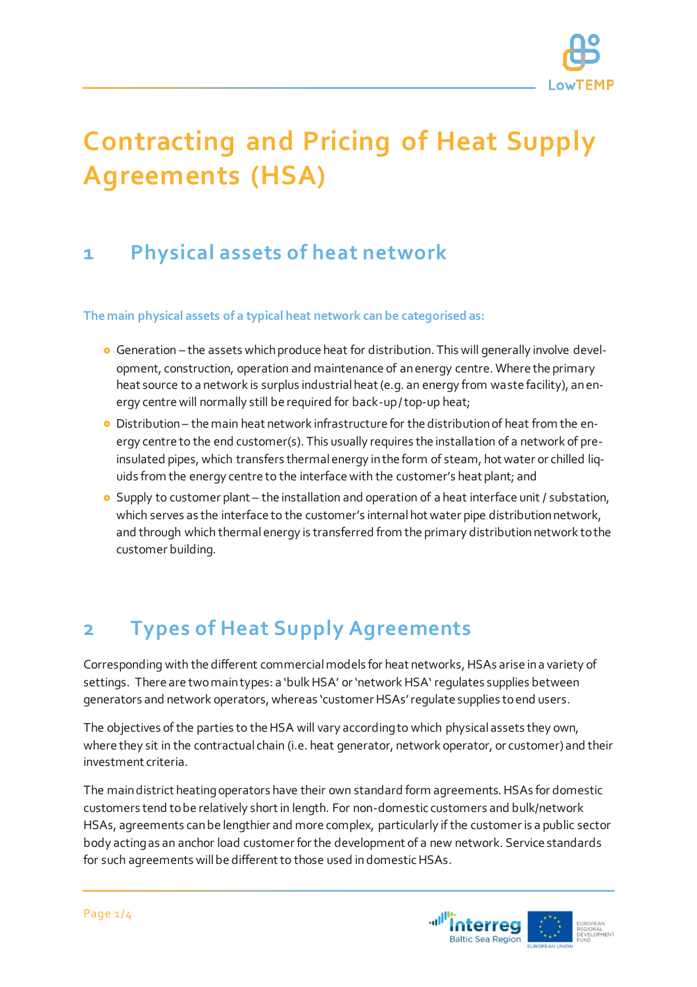

# **Contracting and Pricing of Heat Supply Agreements (HSA)**

### **1 Physical assets of heat network**

**The main physical assets of a typical heat network can be categorised as:** 

- Generation the assets which produce heat for distribution. This will generally involve development, construction, operation and maintenance of an energy centre. Where the primary heat source to a network is surplus industrial heat (e.g. an energy from waste facility), an energy centre will normally still be required for back-up / top-up heat;
- Distribution the main heat network infrastructure for the distribution of heat from the energy centre to the end customer(s). This usually requires the installation of a network of preinsulated pipes, which transfers thermal energy in the form of steam, hot water or chilled liquids from the energy centre to the interface with the customer's heat plant; and
- **O** Supply to customer plant the installation and operation of a heat interface unit / substation, which serves as the interface to the customer's internal hot water pipe distribution network, and through which thermal energy is transferred from the primary distribution network to the customer building.

## **2 Types of Heat Supply Agreements**

Corresponding with the different commercial models for heat networks, HSAs arise in a variety of settings. There are two main types: a 'bulk HSA' or 'network HSA' regulates supplies between generators and network operators, whereas 'customer HSAs' regulate supplies to end users.

The objectives of the parties to the HSA will vary according to which physical assets they own, where they sit in the contractual chain (i.e. heat generator, network operator, or customer) and their investment criteria.

The main district heating operators have their own standard form agreements. HSAs for domestic customers tend to be relatively short in length. For non-domestic customers and bulk/network HSAs, agreements can be lengthier and more complex, particularly if the customer is a public sector body acting as an anchor load customer for the development of a new network. Service standards for such agreements will be different to those used in domestic HSAs.

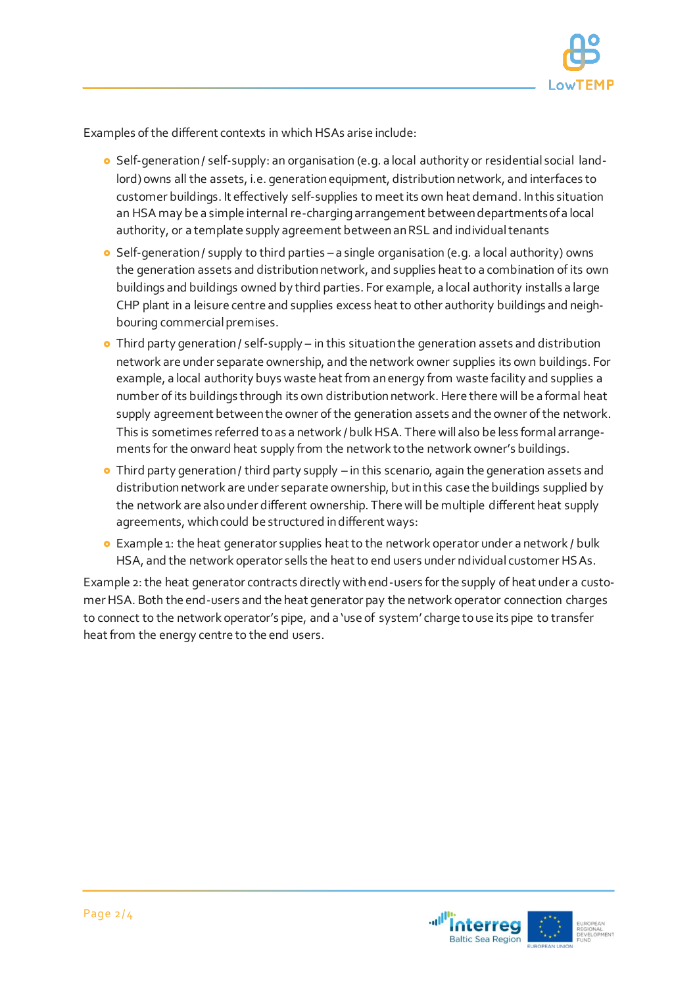

Examples of the different contexts in which HSAs arise include:

- **o** Self-generation / self-supply: an organisation (e.g. a local authority or residential social landlord) owns all the assets, i.e. generation equipment, distribution network, and interfaces to customer buildings. It effectively self-supplies to meet its own heat demand. In this situation an HSA may be a simple internal re-charging arrangement between departments of a local authority, or a template supply agreement between an RSL and individual tenants
- Self-generation / supply to third parties a single organisation (e.g. a local authority) owns the generation assets and distribution network, and supplies heat to a combination of its own buildings and buildings owned by third parties. For example, a local authority installs a large CHP plant in a leisure centre and supplies excess heat to other authority buildings and neighbouring commercial premises.
- Third party generation / self-supply in this situation the generation assets and distribution network are under separate ownership, and the network owner supplies its own buildings. For example, a local authority buys waste heat from an energy from waste facility and supplies a number of its buildings through its own distribution network. Here there will be a formal heat supply agreement between the owner of the generation assets and the owner of the network. This is sometimes referred to as a network / bulk HSA. There will also be less formal arrangements for the onward heat supply from the network to the network owner's buildings.
- **•** Third party generation / third party supply in this scenario, again the generation assets and distribution network are under separate ownership, but in this case the buildings supplied by the network are also under different ownership. There will be multiple different heat supply agreements, which could be structured in different ways:
- Example 1: the heat generator supplies heat to the network operator under a network / bulk HSA, and the network operator sells the heat to end users under ndividual customer HSAs.

Example 2: the heat generator contracts directly with end-users for the supply of heat under a customer HSA. Both the end-users and the heat generator pay the network operator connection charges to connect to the network operator's pipe, and a 'use of system' charge to use its pipe to transfer heat from the energy centre to the end users.

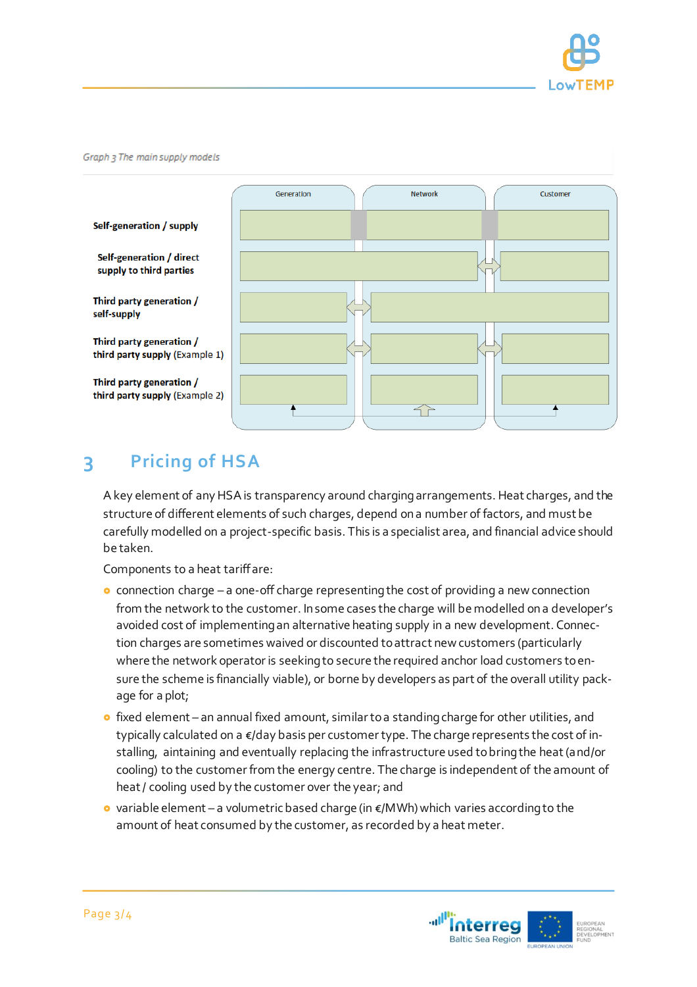

#### Graph 3 The main supply models



#### **3 Pricing of HSA**

A key element of any HSA is transparency around charging arrangements. Heat charges, and the structure of different elements of such charges, depend on a number of factors, and must be carefully modelled on a project-specific basis. This is a specialist area, and financial advice should be taken.

Components to a heat tariff are:

- connection charge a one-off charge representing the cost of providing a new connection from the network to the customer. In some cases the charge will be modelled on a developer's avoided cost of implementing an alternative heating supply in a new development. Connection charges are sometimes waived or discounted to attract new customers (particularly where the network operator is seeking to secure the required anchor load customers to ensure the scheme is financially viable), or borne by developers as part of the overall utility package for a plot;
- **o** fixed element an annual fixed amount, similar to a standing charge for other utilities, and typically calculated on a €/day basis per customer type. The charge represents the cost of installing, aintaining and eventually replacing the infrastructure used to bring the heat (and/or cooling) to the customer from the energy centre. The charge is independent of the amount of heat / cooling used by the customer over the year; and
- variable element a volumetric based charge (in  $\epsilon$ /MWh) which varies according to the amount of heat consumed by the customer, as recorded by a heat meter.



- 
- Self-generation / supply
- **Self-generation / direct** supply to third parties
- Third party generation / self-supply

Third party generation / third party supply (Example 1)

Third party generation / third party supply (Example 2)